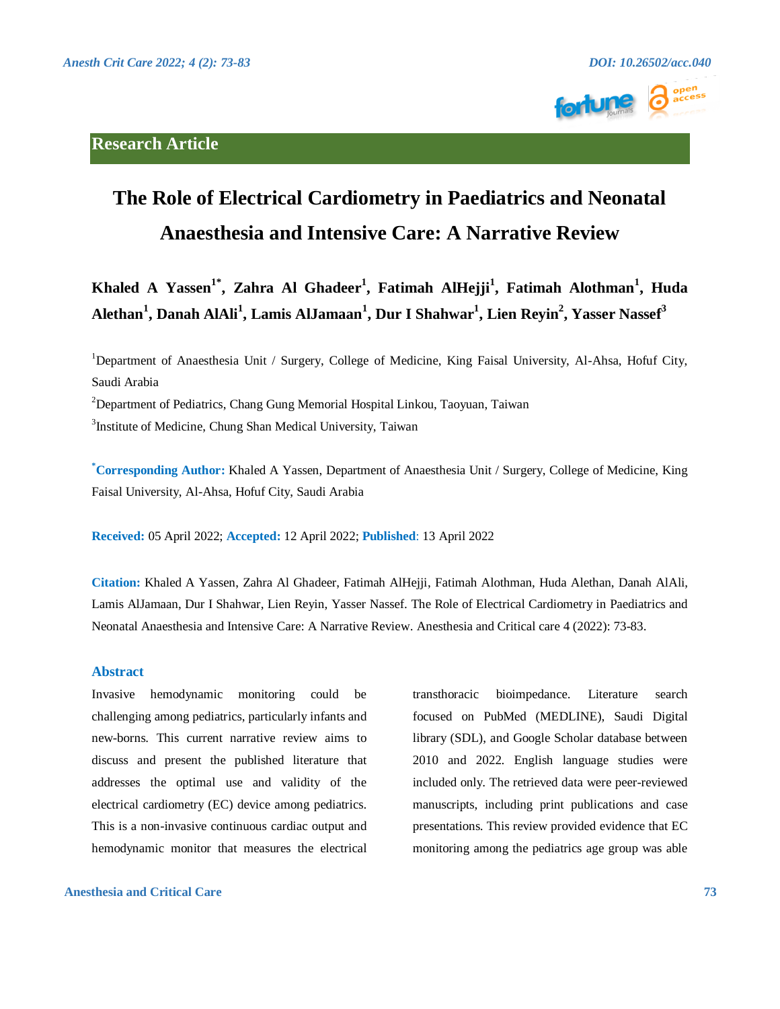



# **The Role of Electrical Cardiometry in Paediatrics and Neonatal Anaesthesia and Intensive Care: A Narrative Review**

**Khaled A Yassen1\* , Zahra Al Ghadeer<sup>1</sup> , Fatimah AlHejji<sup>1</sup> , Fatimah Alothman<sup>1</sup> , Huda Alethan<sup>1</sup> , Danah AlAli<sup>1</sup> , Lamis AlJamaan<sup>1</sup> , Dur I Shahwar<sup>1</sup> , Lien Reyin<sup>2</sup> , Yasser Nassef<sup>3</sup>**

<sup>1</sup>Department of Anaesthesia Unit / Surgery, College of Medicine, King Faisal University, Al-Ahsa, Hofuf City, Saudi Arabia

<sup>2</sup>Department of Pediatrics, Chang Gung Memorial Hospital Linkou, Taoyuan, Taiwan <sup>3</sup>Institute of Medicine, Chung Shan Medical University, Taiwan

**\*Corresponding Author:** Khaled A Yassen, Department of Anaesthesia Unit / Surgery, College of Medicine, King Faisal University, Al-Ahsa, Hofuf City, Saudi Arabia

**Received:** 05 April 2022; **Accepted:** 12 April 2022; **Published**: 13 April 2022

**Citation:** Khaled A Yassen, Zahra Al Ghadeer, Fatimah AlHejji, Fatimah Alothman, Huda Alethan, Danah AlAli, Lamis AlJamaan, Dur I Shahwar, Lien Reyin, Yasser Nassef. The Role of Electrical Cardiometry in Paediatrics and Neonatal Anaesthesia and Intensive Care: A Narrative Review. Anesthesia and Critical care 4 (2022): 73-83.

# **Abstract**

Invasive hemodynamic monitoring could be challenging among pediatrics, particularly infants and new-borns. This current narrative review aims to discuss and present the published literature that addresses the optimal use and validity of the electrical cardiometry (EC) device among pediatrics. This is a non-invasive continuous cardiac output and hemodynamic monitor that measures the electrical

**Anesthesia and Critical Care 73**

transthoracic bioimpedance. Literature search focused on PubMed (MEDLINE), Saudi Digital library (SDL), and Google Scholar database between 2010 and 2022. English language studies were included only. The retrieved data were peer-reviewed manuscripts, including print publications and case presentations. This review provided evidence that EC monitoring among the pediatrics age group was able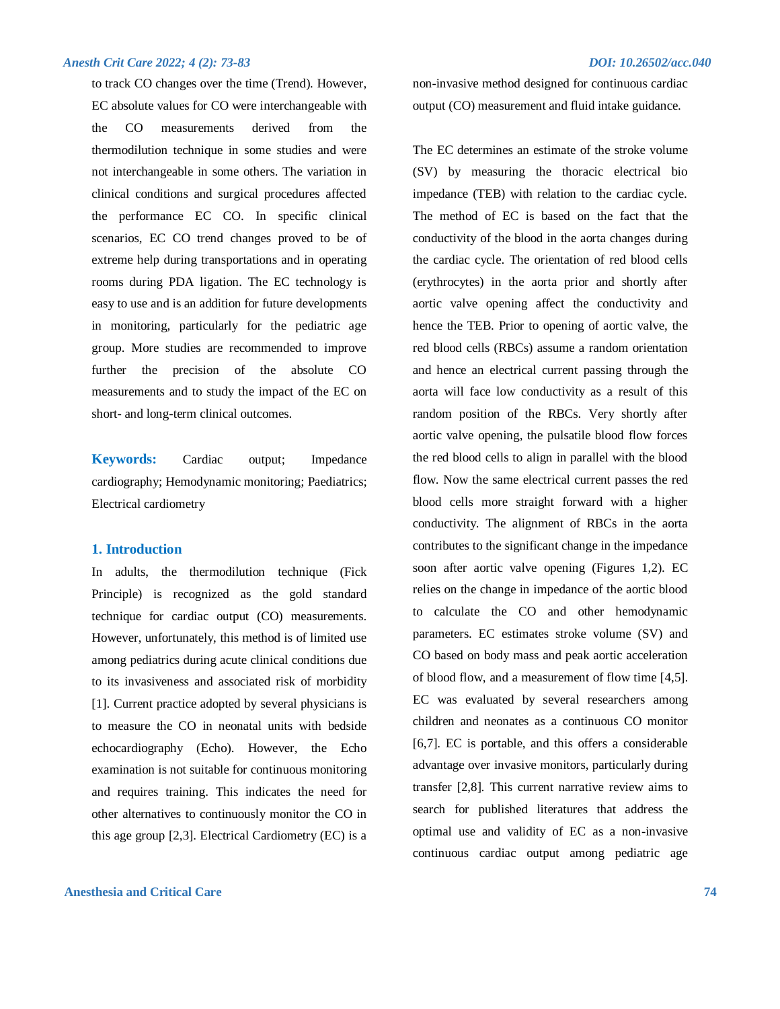to track CO changes over the time (Trend). However, EC absolute values for CO were interchangeable with the CO measurements derived from thermodilution technique in some studies and were not interchangeable in some others. The variation in clinical conditions and surgical procedures affected the performance EC CO. In specific clinical scenarios, EC CO trend changes proved to be of extreme help during transportations and in operating rooms during PDA ligation. The EC technology is easy to use and is an addition for future developments in monitoring, particularly for the pediatric age group. More studies are recommended to improve further the precision of the absolute CO measurements and to study the impact of the EC on short- and long-term clinical outcomes.

**Keywords:** Cardiac output; Impedance cardiography; Hemodynamic monitoring; Paediatrics; Electrical cardiometry

# **1. Introduction**

In adults, the thermodilution technique (Fick Principle) is recognized as the gold standard technique for cardiac output (CO) measurements. However, unfortunately, this method is of limited use among pediatrics during acute clinical conditions due to its invasiveness and associated risk of morbidity [1]. Current practice adopted by several physicians is to measure the CO in neonatal units with bedside echocardiography (Echo). However, the Echo examination is not suitable for continuous monitoring and requires training. This indicates the need for other alternatives to continuously monitor the CO in this age group [2,3]. Electrical Cardiometry (EC) is a

# **Anesthesia and Critical Care 74**

non-invasive method designed for continuous cardiac output (CO) measurement and fluid intake guidance.

The EC determines an estimate of the stroke volume (SV) by measuring the thoracic electrical bio impedance (TEB) with relation to the cardiac cycle. The method of EC is based on the fact that the conductivity of the blood in the aorta changes during the cardiac cycle. The orientation of red blood cells (erythrocytes) in the aorta prior and shortly after aortic valve opening affect the conductivity and hence the TEB. Prior to opening of aortic valve, the red blood cells (RBCs) assume a random orientation and hence an electrical current passing through the aorta will face low conductivity as a result of this random position of the RBCs. Very shortly after aortic valve opening, the pulsatile blood flow forces the red blood cells to align in parallel with the blood flow. Now the same electrical current passes the red blood cells more straight forward with a higher conductivity. The alignment of RBCs in the aorta contributes to the significant change in the impedance soon after aortic valve opening (Figures 1,2). EC relies on the change in impedance of the aortic blood to calculate the CO and other hemodynamic parameters. EC estimates stroke volume (SV) and CO based on body mass and peak aortic acceleration of blood flow, and a measurement of flow time [4,5]. EC was evaluated by several researchers among children and neonates as a continuous CO monitor [6,7]. EC is portable, and this offers a considerable advantage over invasive monitors, particularly during transfer [2,8]. This current narrative review aims to search for published literatures that address the optimal use and validity of EC as a non-invasive continuous cardiac output among pediatric age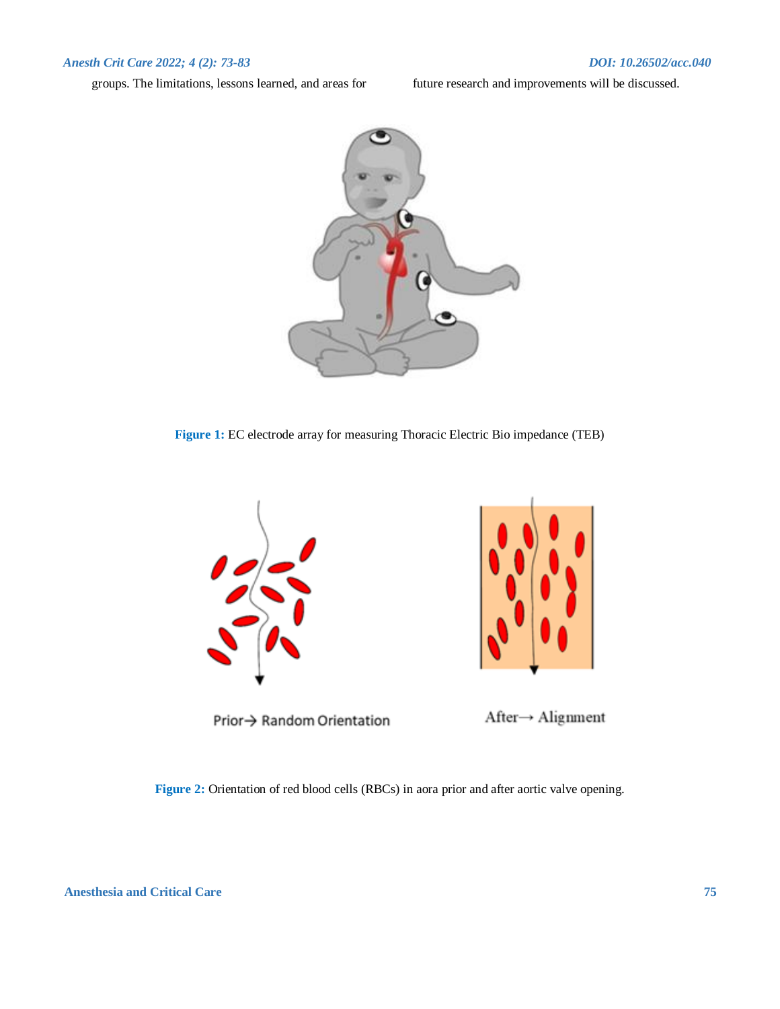groups. The limitations, lessons learned, and areas for future research and improvements will be discussed.



**Figure 1:** EC electrode array for measuring Thoracic Electric Bio impedance (TEB)



Prior→ Random Orientation



After→ Alignment

**Figure 2:** Orientation of red blood cells (RBCs) in aora prior and after aortic valve opening.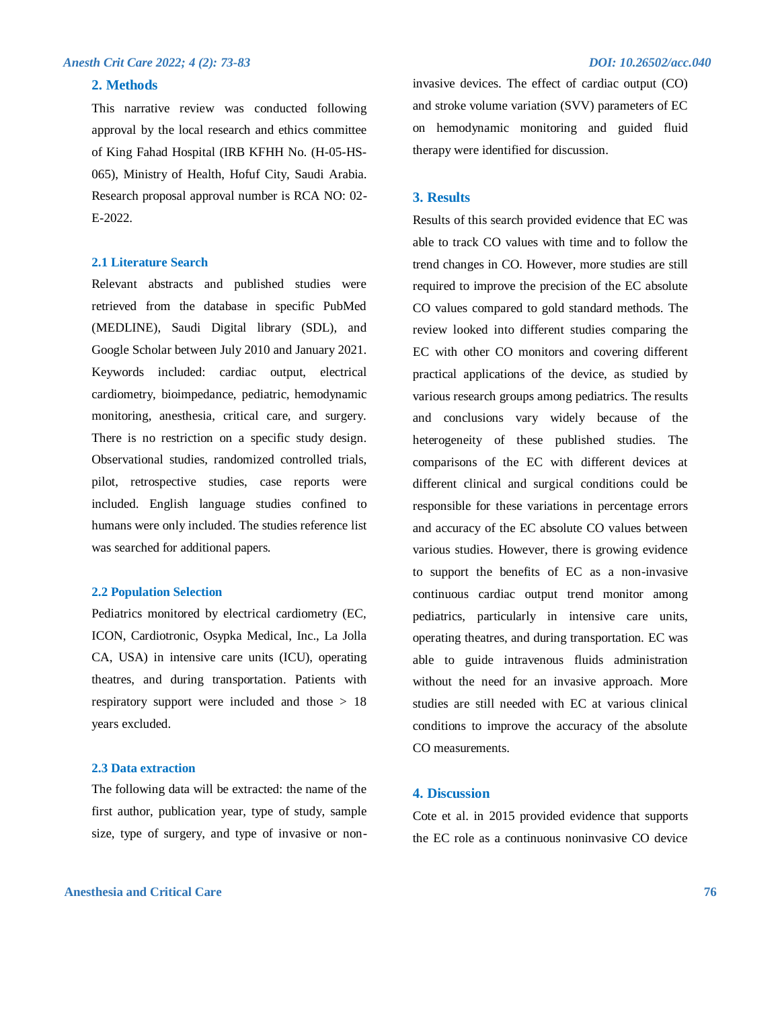# **2. Methods**

This narrative review was conducted following approval by the local research and ethics committee of King Fahad Hospital (IRB KFHH No. (H-05-HS-065), Ministry of Health, Hofuf City, Saudi Arabia. Research proposal approval number is RCA NO: 02- E-2022.

#### **2.1 Literature Search**

Relevant abstracts and published studies were retrieved from the database in specific PubMed (MEDLINE), Saudi Digital library (SDL), and Google Scholar between July 2010 and January 2021. Keywords included: cardiac output, electrical cardiometry, bioimpedance, pediatric, hemodynamic monitoring, anesthesia, critical care, and surgery. There is no restriction on a specific study design. Observational studies, randomized controlled trials, pilot, retrospective studies, case reports were included. English language studies confined to humans were only included. The studies reference list was searched for additional papers.

# **2.2 Population Selection**

Pediatrics monitored by electrical cardiometry (EC, ICON, Cardiotronic, Osypka Medical, Inc., La Jolla CA, USA) in intensive care units (ICU), operating theatres, and during transportation. Patients with respiratory support were included and those > 18 years excluded.

### **2.3 Data extraction**

The following data will be extracted: the name of the first author, publication year, type of study, sample size, type of surgery, and type of invasive or non-

### **Anesthesia and Critical Care 76**

invasive devices. The effect of cardiac output (CO) and stroke volume variation (SVV) parameters of EC on hemodynamic monitoring and guided fluid therapy were identified for discussion.

# **3. Results**

Results of this search provided evidence that EC was able to track CO values with time and to follow the trend changes in CO. However, more studies are still required to improve the precision of the EC absolute CO values compared to gold standard methods. The review looked into different studies comparing the EC with other CO monitors and covering different practical applications of the device, as studied by various research groups among pediatrics. The results and conclusions vary widely because of the heterogeneity of these published studies. The comparisons of the EC with different devices at different clinical and surgical conditions could be responsible for these variations in percentage errors and accuracy of the EC absolute CO values between various studies. However, there is growing evidence to support the benefits of EC as a non-invasive continuous cardiac output trend monitor among pediatrics, particularly in intensive care units, operating theatres, and during transportation. EC was able to guide intravenous fluids administration without the need for an invasive approach. More studies are still needed with EC at various clinical conditions to improve the accuracy of the absolute CO measurements.

# **4. Discussion**

Cote et al. in 2015 provided evidence that supports the EC role as a continuous noninvasive CO device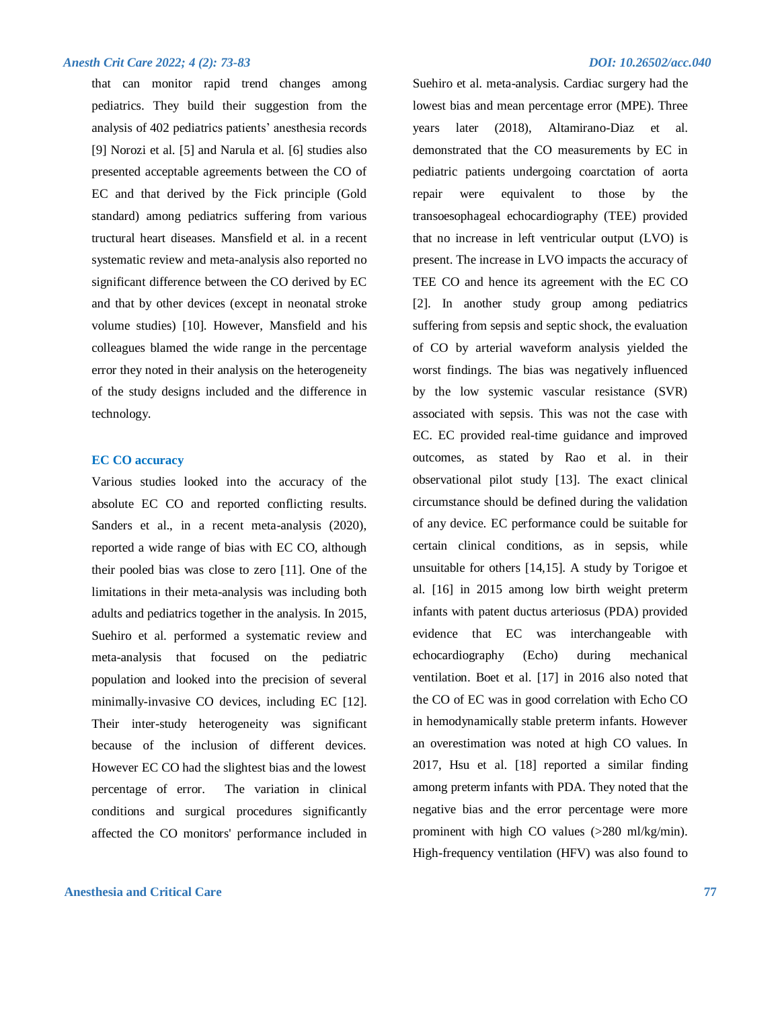that can monitor rapid trend changes among pediatrics. They build their suggestion from the analysis of 402 pediatrics patients' anesthesia records [9] Norozi et al. [5] and Narula et al. [6] studies also presented acceptable agreements between the CO of EC and that derived by the Fick principle (Gold standard) among pediatrics suffering from various tructural heart diseases. Mansfield et al. in a recent systematic review and meta-analysis also reported no significant difference between the CO derived by EC and that by other devices (except in neonatal stroke volume studies) [10]. However, Mansfield and his colleagues blamed the wide range in the percentage error they noted in their analysis on the heterogeneity of the study designs included and the difference in technology.

# **EC CO accuracy**

Various studies looked into the accuracy of the absolute EC CO and reported conflicting results. Sanders et al., in a recent meta-analysis (2020), reported a wide range of bias with EC CO, although their pooled bias was close to zero [11]. One of the limitations in their meta-analysis was including both adults and pediatrics together in the analysis. In 2015, Suehiro et al. performed a systematic review and meta-analysis that focused on the pediatric population and looked into the precision of several minimally-invasive CO devices, including EC [12]. Their inter-study heterogeneity was significant because of the inclusion of different devices. However EC CO had the slightest bias and the lowest percentage of error. The variation in clinical conditions and surgical procedures significantly affected the CO monitors' performance included in

Suehiro et al. meta-analysis. Cardiac surgery had the lowest bias and mean percentage error (MPE). Three years later (2018), Altamirano-Diaz et al. demonstrated that the CO measurements by EC in pediatric patients undergoing coarctation of aorta repair were equivalent to those by the transoesophageal echocardiography (TEE) provided that no increase in left ventricular output (LVO) is present. The increase in LVO impacts the accuracy of TEE CO and hence its agreement with the EC CO [2]. In another study group among pediatrics suffering from sepsis and septic shock, the evaluation of CO by arterial waveform analysis yielded the worst findings. The bias was negatively influenced by the low systemic vascular resistance (SVR) associated with sepsis. This was not the case with EC. EC provided real-time guidance and improved outcomes, as stated by Rao et al. in their observational pilot study [13]. The exact clinical circumstance should be defined during the validation of any device. EC performance could be suitable for certain clinical conditions, as in sepsis, while unsuitable for others [14,15]. A study by Torigoe et al. [16] in 2015 among low birth weight preterm infants with patent ductus arteriosus (PDA) provided evidence that EC was interchangeable with echocardiography (Echo) during mechanical ventilation. Boet et al. [17] in 2016 also noted that the CO of EC was in good correlation with Echo CO in hemodynamically stable preterm infants. However an overestimation was noted at high CO values. In 2017, Hsu et al. [18] reported a similar finding among preterm infants with PDA. They noted that the negative bias and the error percentage were more prominent with high CO values (>280 ml/kg/min). High-frequency ventilation (HFV) was also found to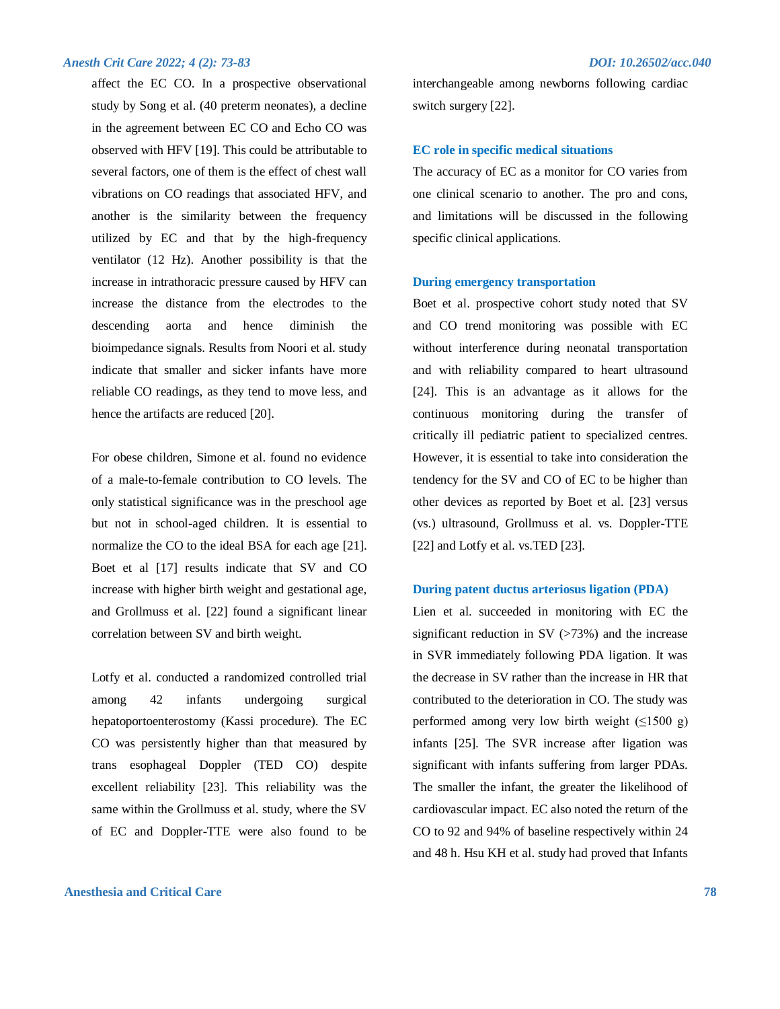affect the EC CO. In a prospective observational study by Song et al. (40 preterm neonates), a decline in the agreement between EC CO and Echo CO was observed with HFV [19]. This could be attributable to several factors, one of them is the effect of chest wall vibrations on CO readings that associated HFV, and another is the similarity between the frequency utilized by EC and that by the high-frequency ventilator (12 Hz). Another possibility is that the increase in intrathoracic pressure caused by HFV can increase the distance from the electrodes to the descending aorta and hence diminish the bioimpedance signals. Results from Noori et al. study indicate that smaller and sicker infants have more reliable CO readings, as they tend to move less, and hence the artifacts are reduced [20].

For obese children, Simone et al. found no evidence of a male-to-female contribution to CO levels. The only statistical significance was in the preschool age but not in school-aged children. It is essential to normalize the CO to the ideal BSA for each age [21]. Boet et al [17] results indicate that SV and CO increase with higher birth weight and gestational age, and Grollmuss et al. [22] found a significant linear correlation between SV and birth weight.

Lotfy et al. conducted a randomized controlled trial among 42 infants undergoing surgical hepatoportoenterostomy (Kassi procedure). The EC CO was persistently higher than that measured by trans esophageal Doppler (TED CO) despite excellent reliability [23]. This reliability was the same within the Grollmuss et al. study, where the SV of EC and Doppler-TTE were also found to be

# **Anesthesia and Critical Care 78**

interchangeable among newborns following cardiac switch surgery [22].

#### **EC role in specific medical situations**

The accuracy of EC as a monitor for CO varies from one clinical scenario to another. The pro and cons, and limitations will be discussed in the following specific clinical applications.

#### **During emergency transportation**

Boet et al. prospective cohort study noted that SV and CO trend monitoring was possible with EC without interference during neonatal transportation and with reliability compared to heart ultrasound [24]. This is an advantage as it allows for the continuous monitoring during the transfer of critically ill pediatric patient to specialized centres. However, it is essential to take into consideration the tendency for the SV and CO of EC to be higher than other devices as reported by Boet et al. [23] versus (vs.) ultrasound, Grollmuss et al. vs. Doppler-TTE [22] and Lotfy et al. vs.TED [23].

# **During patent ductus arteriosus ligation (PDA)**

Lien et al. succeeded in monitoring with EC the significant reduction in SV  $(>73%)$  and the increase in SVR immediately following PDA ligation. It was the decrease in SV rather than the increase in HR that contributed to the deterioration in CO. The study was performed among very low birth weight  $(\leq 1500 \text{ g})$ infants [25]. The SVR increase after ligation was significant with infants suffering from larger PDAs. The smaller the infant, the greater the likelihood of cardiovascular impact. EC also noted the return of the CO to 92 and 94% of baseline respectively within 24 and 48 h. Hsu KH et al. study had proved that Infants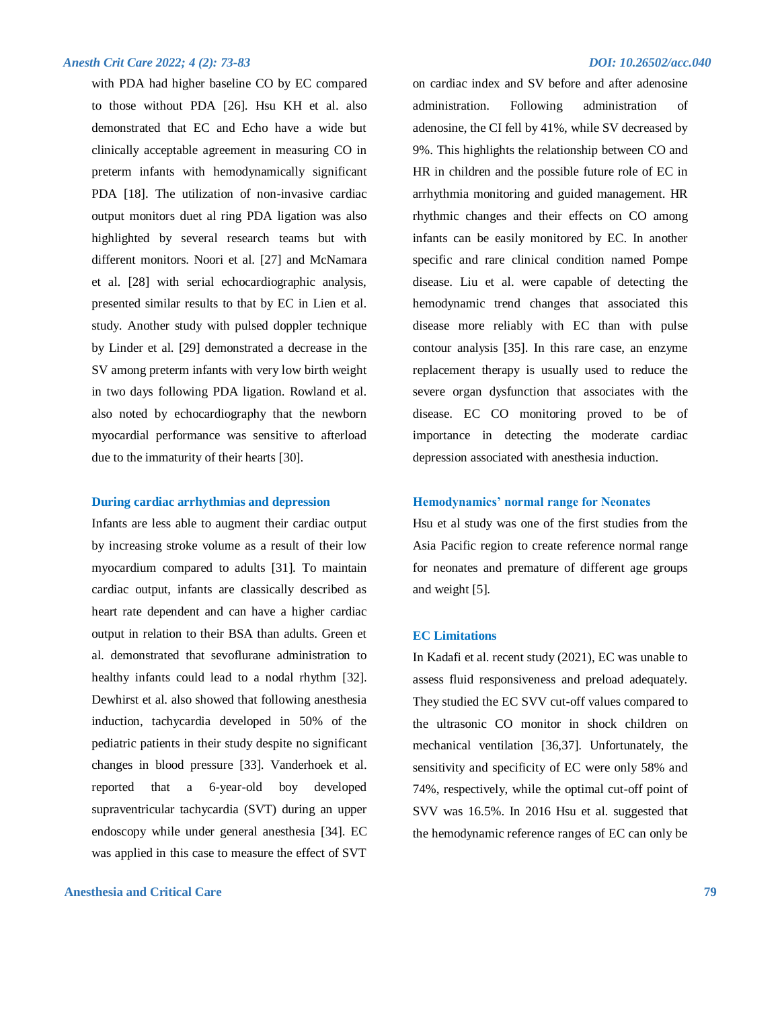with PDA had higher baseline CO by EC compared to those without PDA [26]. Hsu KH et al. also demonstrated that EC and Echo have a wide but clinically acceptable agreement in measuring CO in preterm infants with hemodynamically significant PDA [18]. The utilization of non-invasive cardiac output monitors duet al ring PDA ligation was also highlighted by several research teams but with different monitors. Noori et al. [27] and McNamara et al. [28] with serial echocardiographic analysis, presented similar results to that by EC in Lien et al. study. Another study with pulsed doppler technique by Linder et al. [29] demonstrated a decrease in the SV among preterm infants with very low birth weight in two days following PDA ligation. Rowland et al. also noted by echocardiography that the newborn myocardial performance was sensitive to afterload due to the immaturity of their hearts [30].

#### **During cardiac arrhythmias and depression**

Infants are less able to augment their cardiac output by increasing stroke volume as a result of their low myocardium compared to adults [31]. To maintain cardiac output, infants are classically described as heart rate dependent and can have a higher cardiac output in relation to their BSA than adults. Green et al. demonstrated that sevoflurane administration to healthy infants could lead to a nodal rhythm [32]. Dewhirst et al. also showed that following anesthesia induction, tachycardia developed in 50% of the pediatric patients in their study despite no significant changes in blood pressure [33]. Vanderhoek et al. reported that a 6-year-old boy developed supraventricular tachycardia (SVT) during an upper endoscopy while under general anesthesia [34]. EC was applied in this case to measure the effect of SVT

# **Anesthesia and Critical Care 79**

on cardiac index and SV before and after adenosine administration. Following administration of adenosine, the CI fell by 41%, while SV decreased by 9%. This highlights the relationship between CO and HR in children and the possible future role of EC in arrhythmia monitoring and guided management. HR rhythmic changes and their effects on CO among infants can be easily monitored by EC. In another specific and rare clinical condition named Pompe disease. Liu et al. were capable of detecting the hemodynamic trend changes that associated this disease more reliably with EC than with pulse contour analysis [35]. In this rare case, an enzyme replacement therapy is usually used to reduce the severe organ dysfunction that associates with the disease. EC CO monitoring proved to be of importance in detecting the moderate cardiac depression associated with anesthesia induction.

# **Hemodynamics' normal range for Neonates**

Hsu et al study was one of the first studies from the Asia Pacific region to create reference normal range for neonates and premature of different age groups and weight [5].

### **EC Limitations**

In Kadafi et al. recent study (2021), EC was unable to assess fluid responsiveness and preload adequately. They studied the EC SVV cut-off values compared to the ultrasonic CO monitor in shock children on mechanical ventilation [36,37]. Unfortunately, the sensitivity and specificity of EC were only 58% and 74%, respectively, while the optimal cut-off point of SVV was 16.5%. In 2016 Hsu et al. suggested that the hemodynamic reference ranges of EC can only be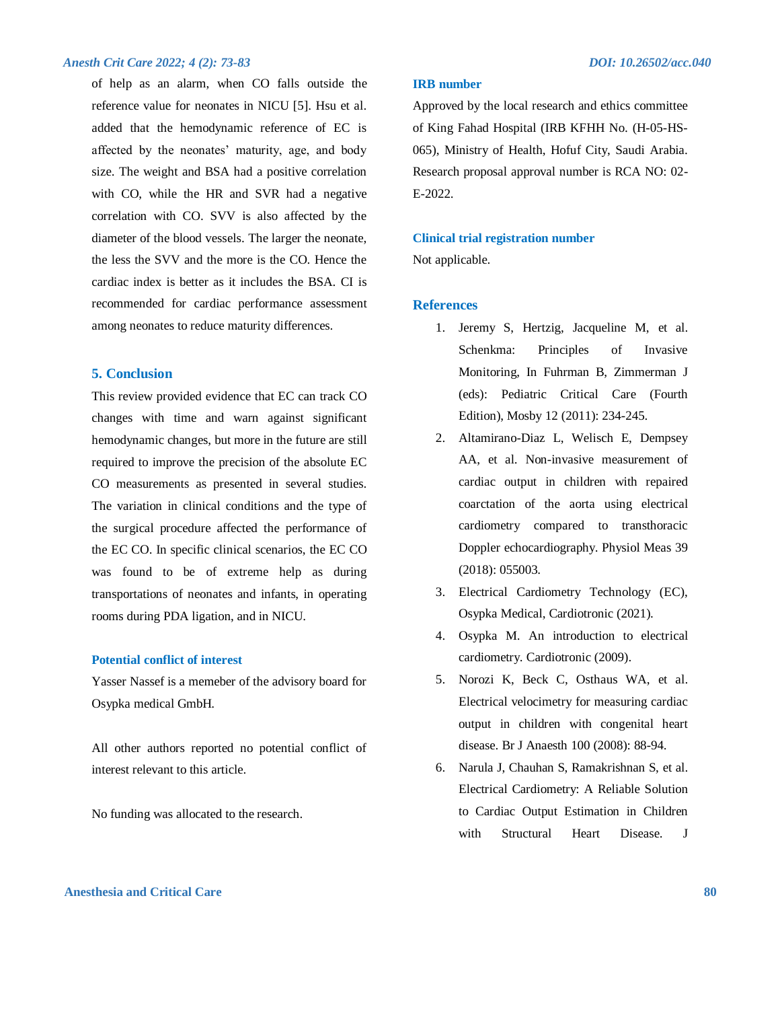of help as an alarm, when CO falls outside the reference value for neonates in NICU [5]. Hsu et al. added that the hemodynamic reference of EC is affected by the neonates' maturity, age, and body size. The weight and BSA had a positive correlation with CO, while the HR and SVR had a negative correlation with CO. SVV is also affected by the diameter of the blood vessels. The larger the neonate, the less the SVV and the more is the CO. Hence the cardiac index is better as it includes the BSA. CI is recommended for cardiac performance assessment among neonates to reduce maturity differences.

# **5. Conclusion**

This review provided evidence that EC can track CO changes with time and warn against significant hemodynamic changes, but more in the future are still required to improve the precision of the absolute EC CO measurements as presented in several studies. The variation in clinical conditions and the type of the surgical procedure affected the performance of the EC CO. In specific clinical scenarios, the EC CO was found to be of extreme help as during transportations of neonates and infants, in operating rooms during PDA ligation, and in NICU.

# **Potential conflict of interest**

Yasser Nassef is a memeber of the advisory board for Osypka medical GmbH.

All other authors reported no potential conflict of interest relevant to this article.

No funding was allocated to the research.

# **IRB number**

Approved by the local research and ethics committee of King Fahad Hospital (IRB KFHH No. (H-05-HS-065), Ministry of Health, Hofuf City, Saudi Arabia. Research proposal approval number is RCA NO: 02- E-2022.

# **Clinical trial registration number**

Not applicable.

# **References**

- 1. Jeremy S, Hertzig, Jacqueline M, et al. Schenkma: Principles of Invasive Monitoring, In Fuhrman B, Zimmerman J (eds): Pediatric Critical Care (Fourth Edition), Mosby 12 (2011): 234-245.
- 2. Altamirano-Diaz L, Welisch E, Dempsey AA, et al. Non-invasive measurement of cardiac output in children with repaired coarctation of the aorta using electrical cardiometry compared to transthoracic Doppler echocardiography. Physiol Meas 39 (2018): 055003.
- 3. Electrical Cardiometry Technology (EC), Osypka Medical, Cardiotronic (2021).
- 4. Osypka M. An introduction to electrical cardiometry. Cardiotronic (2009).
- 5. Norozi K, Beck C, Osthaus WA, et al. Electrical velocimetry for measuring cardiac output in children with congenital heart disease. Br J Anaesth 100 (2008): 88-94.
- 6. Narula J, Chauhan S, Ramakrishnan S, et al. Electrical Cardiometry: A Reliable Solution to Cardiac Output Estimation in Children with Structural Heart Disease. J

# **Anesthesia and Critical Care 80**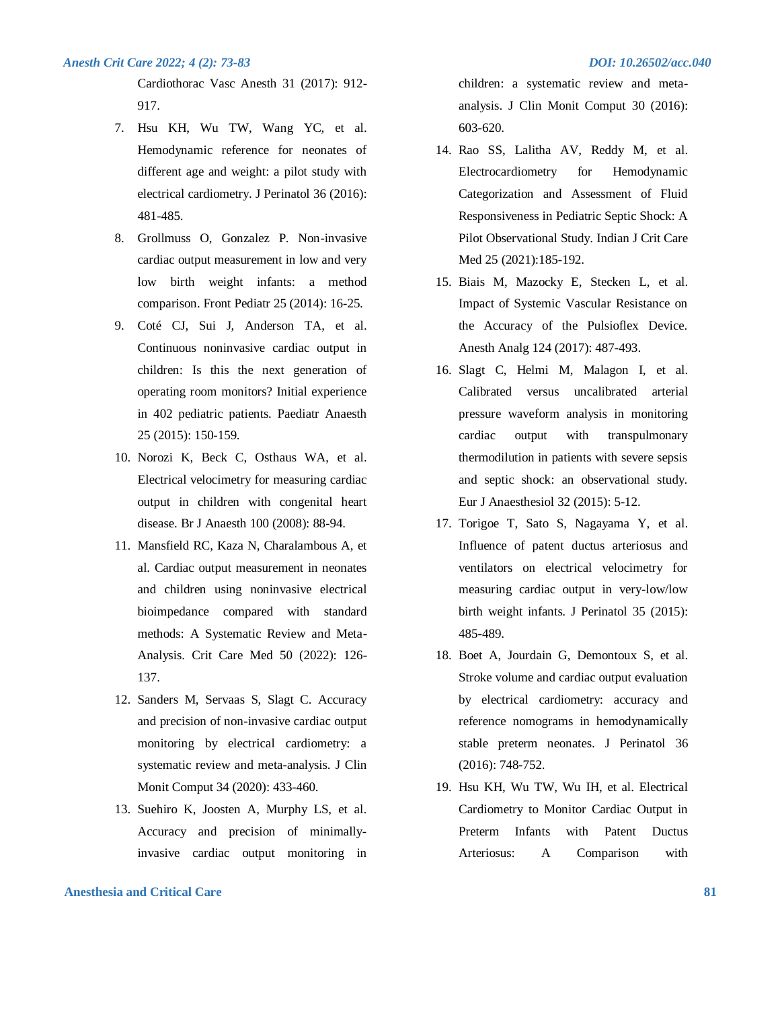Cardiothorac Vasc Anesth 31 (2017): 912- 917.

- 7. Hsu KH, Wu TW, Wang YC, et al. Hemodynamic reference for neonates of different age and weight: a pilot study with electrical cardiometry. J Perinatol 36 (2016): 481-485.
- 8. Grollmuss O, Gonzalez P. Non-invasive cardiac output measurement in low and very low birth weight infants: a method comparison. Front Pediatr 25 (2014): 16-25.
- 9. Coté CJ, Sui J, Anderson TA, et al. Continuous noninvasive cardiac output in children: Is this the next generation of operating room monitors? Initial experience in 402 pediatric patients. Paediatr Anaesth 25 (2015): 150-159.
- 10. Norozi K, Beck C, Osthaus WA, et al. Electrical velocimetry for measuring cardiac output in children with congenital heart disease. Br J Anaesth 100 (2008): 88-94.
- 11. Mansfield RC, Kaza N, Charalambous A, et al. Cardiac output measurement in neonates and children using noninvasive electrical bioimpedance compared with standard methods: A Systematic Review and Meta-Analysis. Crit Care Med 50 (2022): 126- 137.
- 12. Sanders M, Servaas S, Slagt C. Accuracy and precision of non-invasive cardiac output monitoring by electrical cardiometry: a systematic review and meta-analysis. J Clin Monit Comput 34 (2020): 433-460.
- 13. Suehiro K, Joosten A, Murphy LS, et al. Accuracy and precision of minimallyinvasive cardiac output monitoring in

# **Anesthesia and Critical Care 81**

children: a systematic review and metaanalysis. J Clin Monit Comput 30 (2016): 603-620.

- 14. Rao SS, Lalitha AV, Reddy M, et al. Electrocardiometry for Hemodynamic Categorization and Assessment of Fluid Responsiveness in Pediatric Septic Shock: A Pilot Observational Study. Indian J Crit Care Med 25 (2021):185-192.
- 15. Biais M, Mazocky E, Stecken L, et al. Impact of Systemic Vascular Resistance on the Accuracy of the Pulsioflex Device. Anesth Analg 124 (2017): 487-493.
- 16. Slagt C, Helmi M, Malagon I, et al. Calibrated versus uncalibrated arterial pressure waveform analysis in monitoring cardiac output with transpulmonary thermodilution in patients with severe sepsis and septic shock: an observational study. Eur J Anaesthesiol 32 (2015): 5-12.
- 17. Torigoe T, Sato S, Nagayama Y, et al. Influence of patent ductus arteriosus and ventilators on electrical velocimetry for measuring cardiac output in very-low/low birth weight infants. J Perinatol 35 (2015): 485-489.
- 18. Boet A, Jourdain G, Demontoux S, et al. Stroke volume and cardiac output evaluation by electrical cardiometry: accuracy and reference nomograms in hemodynamically stable preterm neonates. J Perinatol 36 (2016): 748-752.
- 19. Hsu KH, Wu TW, Wu IH, et al. Electrical Cardiometry to Monitor Cardiac Output in Preterm Infants with Patent Ductus Arteriosus: A Comparison with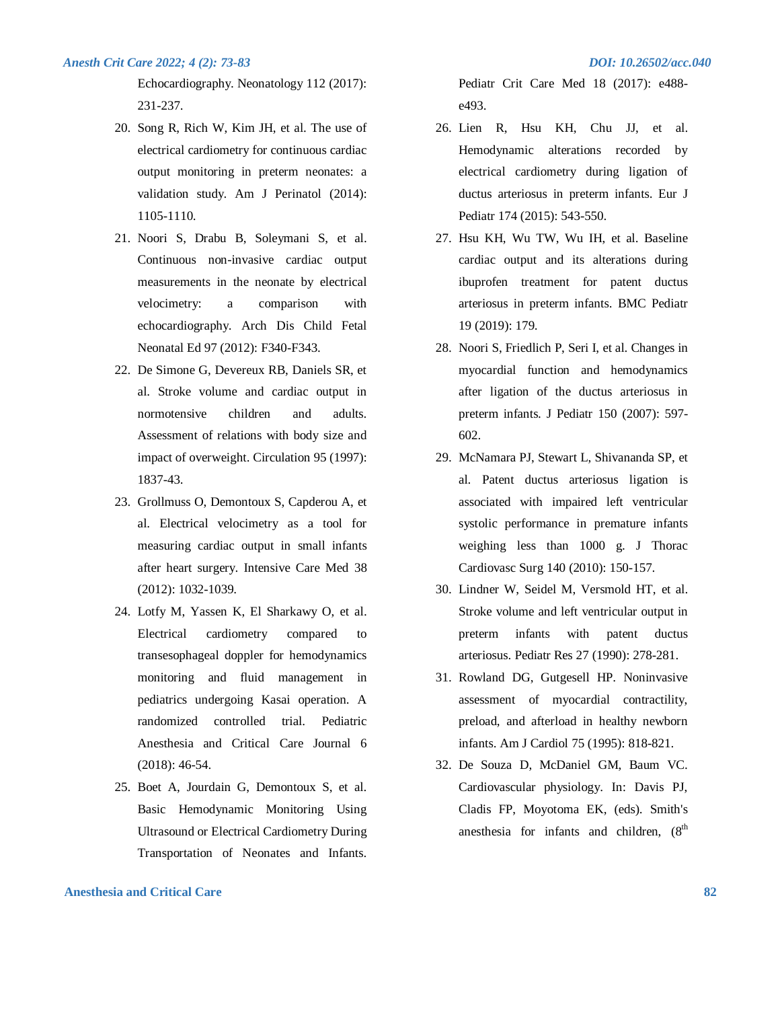Echocardiography. Neonatology 112 (2017): 231-237.

- 20. Song R, Rich W, Kim JH, et al. The use of electrical cardiometry for continuous cardiac output monitoring in preterm neonates: a validation study. Am J Perinatol (2014): 1105-1110.
- 21. Noori S, Drabu B, Soleymani S, et al. Continuous non-invasive cardiac output measurements in the neonate by electrical velocimetry: a comparison with echocardiography. Arch Dis Child Fetal Neonatal Ed 97 (2012): F340-F343.
- 22. De Simone G, Devereux RB, Daniels SR, et al. Stroke volume and cardiac output in normotensive children and adults. Assessment of relations with body size and impact of overweight. Circulation 95 (1997): 1837-43.
- 23. Grollmuss O, Demontoux S, Capderou A, et al. Electrical velocimetry as a tool for measuring cardiac output in small infants after heart surgery. Intensive Care Med 38 (2012): 1032-1039.
- 24. Lotfy M, Yassen K, El Sharkawy O, et al. Electrical cardiometry compared to transesophageal doppler for hemodynamics monitoring and fluid management in pediatrics undergoing Kasai operation. A randomized controlled trial. Pediatric Anesthesia and Critical Care Journal 6 (2018): 46-54.
- 25. Boet A, Jourdain G, Demontoux S, et al. Basic Hemodynamic Monitoring Using Ultrasound or Electrical Cardiometry During Transportation of Neonates and Infants.

# **Anesthesia and Critical Care 82**

Pediatr Crit Care Med 18 (2017): e488 e493.

- 26. Lien R, Hsu KH, Chu JJ, et al. Hemodynamic alterations recorded by electrical cardiometry during ligation of ductus arteriosus in preterm infants. Eur J Pediatr 174 (2015): 543-550.
- 27. Hsu KH, Wu TW, Wu IH, et al. Baseline cardiac output and its alterations during ibuprofen treatment for patent ductus arteriosus in preterm infants. BMC Pediatr 19 (2019): 179.
- 28. Noori S, Friedlich P, Seri I, et al. Changes in myocardial function and hemodynamics after ligation of the ductus arteriosus in preterm infants. J Pediatr 150 (2007): 597- 602.
- 29. McNamara PJ, Stewart L, Shivananda SP, et al. Patent ductus arteriosus ligation is associated with impaired left ventricular systolic performance in premature infants weighing less than 1000 g. J Thorac Cardiovasc Surg 140 (2010): 150-157.
- 30. Lindner W, Seidel M, Versmold HT, et al. Stroke volume and left ventricular output in preterm infants with patent ductus arteriosus. Pediatr Res 27 (1990): 278-281.
- 31. Rowland DG, Gutgesell HP. Noninvasive assessment of myocardial contractility, preload, and afterload in healthy newborn infants. Am J Cardiol 75 (1995): 818-821.
- 32. De Souza D, McDaniel GM, Baum VC. Cardiovascular physiology. In: Davis PJ, Cladis FP, Moyotoma EK, (eds). Smith's anesthesia for infants and children,  $(8<sup>th</sup>$